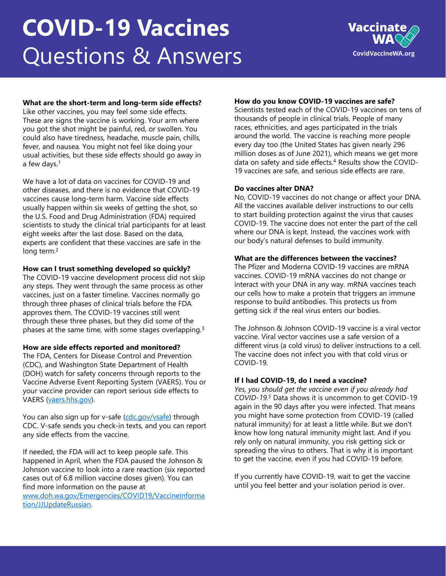# **COVID-19 Vaccines**  Questions & Answers



## **What are the short-term and long-term side effects?**

Like other vaccines, you may feel some side effects. These are signs the vaccine is working. Your arm where you got the shot might be painful, red, or swollen. You could also have tiredness, headache, muscle pain, chills, fever, and nausea. You might not feel like doing your usual activities, but these side effects should go away in a few days.<sup>1</sup>

We have a lot of data on vaccines for COVID-19 and other diseases, and there is no evidence that COVID-19 vaccines cause long-term harm. Vaccine side effects usually happen within six weeks of getting the shot, so the U.S. Food and Drug Administration (FDA) required scientists to study the clinical trial participants for at least eight weeks after the last dose. Based on the data, experts are confident that these vaccines are safe in the long term.<sup>2</sup>

#### **How can I trust something developed so quickly?**

The COVID-19 vaccine development process did not skip any steps. They went through the same process as other vaccines, just on a faster timeline. Vaccines normally go through three phases of clinical trials before the FDA approves them. The COVID-19 vaccines still went through these three phases, but they did some of the phases at the same time, with some stages overlapping.<sup>3</sup>

#### **How are side effects reported and monitored?**

The FDA, Centers for Disease Control and Prevention (CDC), and Washington State Department of Health (DOH) watch for safety concerns through reports to the Vaccine Adverse Event Reporting System (VAERS). You or your vaccine provider can report serious side effects to VAERS [\(vaers.hhs.gov](https://vaers.hhs.gov/index.html)).

You can also sign up for v-safe [\(cdc.gov/vsafe](https://www.cdc.gov/coronavirus/2019-ncov/vaccines/safety/vsafe.html)) through CDC. V-safe sends you check-in texts, and you can report any side effects from the vaccine.

If needed, the FDA will act to keep people safe. This happened in April, when the FDA paused the Johnson & Johnson vaccine to look into a rare reaction (six reported cases out of 6.8 million vaccine doses given). You can find more information on the pause at [www.doh.wa.gov/Emergencies/COVID19/VaccineInforma](http://www.doh.wa.gov/Emergencies/COVID19/VaccineInformation/JJUpdateRussian) tion/JJUpdateRussian.

### **How do you know COVID-19 vaccines are safe?**

Scientists tested each of the COVID-19 vaccines on tens of thousands of people in clinical trials. People of many races, ethnicities, and ages participated in the trials around the world. The vaccine is reaching more people every day too (the United States has given nearly 296 million doses as of June 2021), which means we get more data on safety and side effects.<sup>4</sup> Results show the COVID-19 vaccines are safe, and serious side effects are rare.

#### **Do vaccines alter DNA?**

No, COVID-19 vaccines do not change or affect your DNA. All the vaccines available deliver instructions to our cells to start building protection against the virus that causes COVID-19. The vaccine does not enter the part of the cell where our DNA is kept. Instead, the vaccines work with our body's natural defenses to build immunity.

#### **What are the differences between the vaccines?**

The Pfizer and Moderna COVID-19 vaccines are mRNA vaccines. COVID-19 mRNA vaccines do not change or interact with your DNA in any way. mRNA vaccines teach our cells how to make a protein that triggers an immune response to build antibodies. This protects us from getting sick if the real virus enters our bodies.

The Johnson & Johnson COVID-19 vaccine is a viral vector vaccine. Viral vector vaccines use a safe version of a different virus (a cold virus) to deliver instructions to a cell. The vaccine does not infect you with that cold virus or COVID-19.

#### **If I had COVID-19, do I need a vaccine?**

*Yes, you should get the vaccine even if you already had COVID-19.<sup>5</sup>* Data shows it is uncommon to get COVID-19 again in the 90 days after you were infected. That means you might have some protection from COVID-19 (called natural immunity) for at least a little while. But we don't know how long natural immunity might last. And if you rely only on natural immunity, you risk getting sick or spreading the virus to others. That is why it is important to get the vaccine, even if you had COVID-19 before.

If you currently have COVID-19, wait to get the vaccine until you feel better and your isolation period is over.